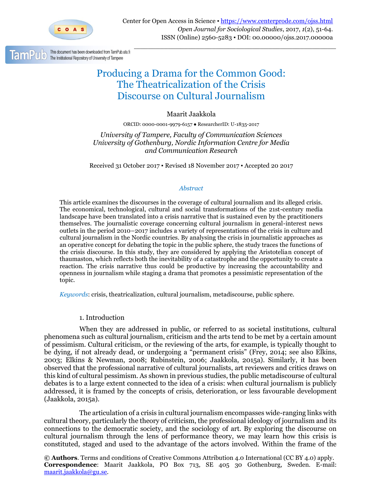

\_\_\_\_\_\_\_\_\_\_\_\_\_\_\_\_\_\_\_\_\_\_\_\_\_\_\_\_\_\_\_\_\_\_\_\_\_\_\_\_\_\_\_\_\_\_\_\_\_\_\_\_\_\_\_\_\_\_\_\_\_\_\_\_\_\_\_\_\_\_\_\_\_

# Producing a Drama for the Common Good: The Theatricalization of the Crisis Discourse on Cultural Journalism

# Maarit Jaakkola

ORCID: 0000-0001-9979-6157 ● ResearcherID: U-1835-2017

*University of Tampere, Faculty of Communication Sciences University of Gothenburg, Nordic Information Centre for Media and Communication Research*

Received 31 October 2017 ▪ Revised 18 November 2017 ▪ Accepted 20 2017

## *Abstract*

This article examines the discourses in the coverage of cultural journalism and its alleged crisis. The economical, technological, cultural and social transformations of the 21st-century media landscape have been translated into a crisis narrative that is sustained even by the practitioners themselves. The journalistic coverage concerning cultural journalism in general-interest news outlets in the period 2010–2017 includes a variety of representations of the crisis in culture and cultural journalism in the Nordic countries. By analysing the crisis in journalistic approaches as an operative concept for debating the topic in the public sphere, the study traces the functions of the crisis discourse. In this study, they are considered by applying the Aristotelian concept of thaumaston, which reflects both the inevitability of a catastrophe and the opportunity to create a reaction. The crisis narrative thus could be productive by increasing the accountability and openness in journalism while staging a drama that promotes a pessimistic representation of the topic.

*Keywords*: crisis, theatricalization, cultural journalism, metadiscourse, public sphere.

## 1. Introduction

When they are addressed in public, or referred to as societal institutions, cultural phenomena such as cultural journalism, criticism and the arts tend to be met by a certain amount of pessimism. Cultural criticism, or the reviewing of the arts, for example, is typically thought to be dying, if not already dead, or undergoing a "permanent crisis" (Frey, 2014; see also Elkins, 2003; Elkins & Newman, 2008; Rubinstein, 2006; Jaakkola, 2015a). Similarly, it has been observed that the professional narrative of cultural journalists, art reviewers and critics draws on this kind of cultural pessimism. As shown in previous studies, the public metadiscourse of cultural debates is to a large extent connected to the idea of a crisis: when cultural journalism is publicly addressed, it is framed by the concepts of crisis, deterioration, or less favourable development (Jaakkola, 2015a).

The articulation of a crisis in cultural journalism encompasses wide-ranging links with cultural theory, particularly the theory of criticism, the professional ideology of journalism and its connections to the democratic society, and the sociology of art. By exploring the discourse on cultural journalism through the lens of performance theory, we may learn how this crisis is constituted, staged and used to the advantage of the actors involved. Within the frame of the

**© Authors**. Terms and conditions of Creative Commons Attribution 4.0 International (CC BY 4.0) apply. **Correspondence**: Maarit Jaakkola, PO Box 713, SE 405 30 Gothenburg, Sweden. E-mail: [maarit.jaakkola@gu.se.](mailto:maarit.jaakkola@gu.se)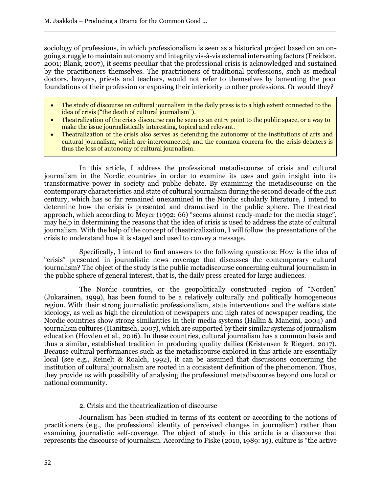sociology of professions, in which professionalism is seen as a historical project based on an ongoing struggle to maintain autonomy and integrity vis-à-vis external intervening factors (Freidson, 2001; Blank, 2007), it seems peculiar that the professional crisis is acknowledged and sustained by the practitioners themselves. The practitioners of traditional professions, such as medical doctors, lawyers, priests and teachers, would not refer to themselves by lamenting the poor foundations of their profession or exposing their inferiority to other professions. Or would they?

 $\Box$ 

- The study of discourse on cultural journalism in the daily press is to a high extent connected to the idea of crisis ("the death of cultural journalism").
- Theatralization of the crisis discourse can be seen as an entry point to the public space, or a way to make the issue journalistically interesting, topical and relevant.
- Theatralization of the crisis also serves as defending the autonomy of the institutions of arts and cultural journalism, which are interconnected, and the common concern for the crisis debaters is thus the loss of autonomy of cultural journalism.

In this article, I address the professional metadiscourse of crisis and cultural journalism in the Nordic countries in order to examine its uses and gain insight into its transformative power in society and public debate. By examining the metadiscourse on the contemporary characteristics and state of cultural journalism during the second decade of the 21st century, which has so far remained unexamined in the Nordic scholarly literature, I intend to determine how the crisis is presented and dramatised in the public sphere. The theatrical approach, which according to Meyer (1992: 66) "seems almost ready-made for the media stage", may help in determining the reasons that the idea of crisis is used to address the state of cultural journalism. With the help of the concept of theatricalization, I will follow the presentations of the crisis to understand how it is staged and used to convey a message.

Specifically, I intend to find answers to the following questions: How is the idea of "crisis" presented in journalistic news coverage that discusses the contemporary cultural journalism? The object of the study is the public metadiscourse concerning cultural journalism in the public sphere of general interest, that is, the daily press created for large audiences.

The Nordic countries, or the geopolitically constructed region of "Norden" (Jukarainen, 1999), has been found to be a relatively culturally and politically homogeneous region. With their strong journalistic professionalism, state interventions and the welfare state ideology, as well as high the circulation of newspapers and high rates of newspaper reading, the Nordic countries show strong similarities in their media systems (Hallin & Mancini, 2004) and journalism cultures (Hanitzsch, 2007), which are supported by their similar systems of journalism education (Hovden et al., 2016). In these countries, cultural journalism has a common basis and thus a similar, established tradition in producing quality dailies (Kristensen & Riegert, 2017). Because cultural performances such as the metadiscourse explored in this article are essentially local (see e.g., Reinelt & Roalch, 1992), it can be assumed that discussions concerning the institution of cultural journalism are rooted in a consistent definition of the phenomenon. Thus, they provide us with possibility of analysing the professional metadiscourse beyond one local or national community.

## 2. Crisis and the theatricalization of discourse

Journalism has been studied in terms of its content or according to the notions of practitioners (e.g., the professional identity of perceived changes in journalism) rather than examining journalistic self-coverage. The object of study in this article is a discourse that represents the discourse of journalism. According to Fiske (2010, 1989: 19), culture is "the active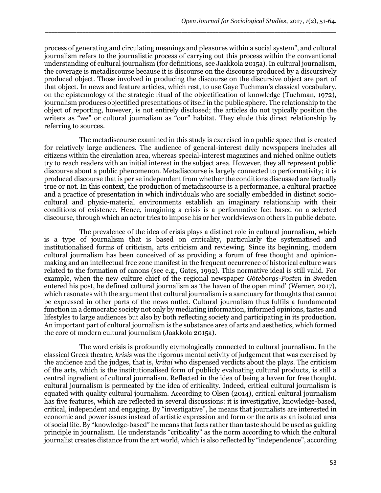process of generating and circulating meanings and pleasures within a social system", and cultural journalism refers to the journalistic process of carrying out this process within the conventional understanding of cultural journalism (for definitions, see Jaakkola 2015a). In cultural journalism, the coverage is metadiscourse because it is discourse on the discourse produced by a discursively produced object. Those involved in producing the discourse on the discursive object are part of that object. In news and feature articles, which rest, to use Gaye Tuchman's classical vocabulary, on the epistemology of the strategic ritual of the objectification of knowledge (Tuchman, 1972), journalism produces objectified presentations of itself in the public sphere. The relationship to the object of reporting, however, is not entirely disclosed; the articles do not typically position the writers as "we" or cultural journalism as "our" habitat. They elude this direct relationship by referring to sources.

\_\_\_\_\_\_\_\_\_\_\_\_\_\_\_\_\_\_\_\_\_\_\_\_\_\_\_\_\_\_\_\_\_\_\_\_\_\_\_\_\_\_\_\_\_\_\_\_\_\_\_\_\_\_\_\_\_\_\_\_\_\_\_\_\_\_\_\_\_\_\_\_\_\_\_\_\_\_\_\_\_\_\_\_\_\_\_\_\_\_\_\_\_\_

The metadiscourse examined in this study is exercised in a public space that is created for relatively large audiences. The audience of general-interest daily newspapers includes all citizens within the circulation area, whereas special-interest magazines and niched online outlets try to reach readers with an initial interest in the subject area. However, they all represent public discourse about a public phenomenon. Metadiscourse is largely connected to performativity; it is produced discourse that is per se independent from whether the conditions discussed are factually true or not. In this context, the production of metadiscourse is a performance, a cultural practice and a practice of presentation in which individuals who are socially embedded in distinct sociocultural and physic-material environments establish an imaginary relationship with their conditions of existence. Hence, imagining a crisis is a performative fact based on a selected discourse, through which an actor tries to impose his or her worldviews on others in public debate.

The prevalence of the idea of crisis plays a distinct role in cultural journalism, which is a type of journalism that is based on criticality, particularly the systematised and institutionalised forms of criticism, arts criticism and reviewing. Since its beginning, modern cultural journalism has been conceived of as providing a forum of free thought and opinionmaking and an intellectual free zone manifest in the frequent occurrence of historical culture wars related to the formation of canons (see e.g., Gates, 1992). This normative ideal is still valid. For example, when the new culture chief of the regional newspaper *Göteborgs-Posten* in Sweden entered his post, he defined cultural journalism as 'the haven of the open mind' (Werner, 2017), which resonates with the argument that cultural journalism is a sanctuary for thoughts that cannot be expressed in other parts of the news outlet. Cultural journalism thus fulfils a fundamental function in a democratic society not only by mediating information, informed opinions, tastes and lifestyles to large audiences but also by both reflecting society and participating in its production. An important part of cultural journalism is the substance area of arts and aesthetics, which formed the core of modern cultural journalism (Jaakkola 2015a).

The word crisis is profoundly etymologically connected to cultural journalism. In the classical Greek theatre, *krisis* was the rigorous mental activity of judgement that was exercised by the audience and the judges, that is, *kritai* who dispensed verdicts about the plays. The criticism of the arts, which is the institutionalised form of publicly evaluating cultural products, is still a central ingredient of cultural journalism. Reflected in the idea of being a haven for free thought, cultural journalism is permeated by the idea of criticality. Indeed, critical cultural journalism is equated with quality cultural journalism. According to Olsen (2014), critical cultural journalism has five features, which are reflected in several discussions: it is investigative, knowledge-based, critical, independent and engaging. By "investigative", he means that journalists are interested in economic and power issues instead of artistic expression and form or the arts as an isolated area of social life. By "knowledge-based" he means that facts rather than taste should be used as guiding principle in journalism. He understands "criticality" as the norm according to which the cultural journalist creates distance from the art world, which is also reflected by "independence", according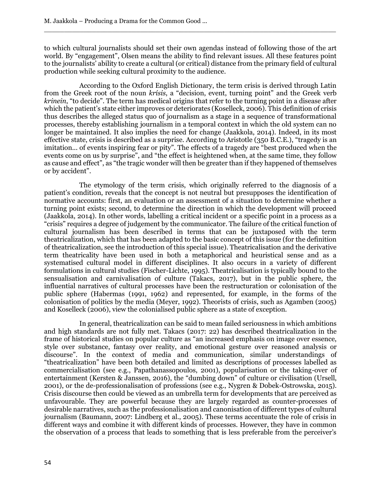to which cultural journalists should set their own agendas instead of following those of the art world. By "engagement", Olsen means the ability to find relevant issues. All these features point to the journalists' ability to create a cultural (or critical) distance from the primary field of cultural production while seeking cultural proximity to the audience.

 $\Box$ 

According to the Oxford English Dictionary, the term crisis is derived through Latin from the Greek root of the noun *krísis*, a "decision, event, turning point" and the Greek verb *krinein*, "to decide". The term has medical origins that refer to the turning point in a disease after which the patient's state either improves or deteriorates (Koselleck, 2006). This definition of crisis thus describes the alleged status quo of journalism as a stage in a sequence of transformational processes, thereby establishing journalism in a temporal context in which the old system can no longer be maintained. It also implies the need for change (Jaakkola, 2014). Indeed, in its most effective state, crisis is described as a surprise. According to Aristotle (350 B.C.E.), "tragedy is an imitation... of events inspiring fear or pity". The effects of a tragedy are "best produced when the events come on us by surprise", and "the effect is heightened when, at the same time, they follow as cause and effect", as "the tragic wonder will then be greater than if they happened of themselves or by accident".

The etymology of the term crisis, which originally referred to the diagnosis of a patient's condition, reveals that the concept is not neutral but presupposes the identification of normative accounts: first, an evaluation or an assessment of a situation to determine whether a turning point exists; second, to determine the direction in which the development will proceed (Jaakkola, 2014). In other words, labelling a critical incident or a specific point in a process as a "crisis" requires a degree of judgement by the communicator. The failure of the critical function of cultural journalism has been described in terms that can be juxtaposed with the term theatricalization, which that has been adapted to the basic concept of this issue (for the definition of theatricalization, see the introduction of this special issue). Theatricalisation and the derivative term theatricality have been used in both a metaphorical and heuristical sense and as a systematised cultural model in different disciplines. It also occurs in a variety of different formulations in cultural studies (Fischer-Lichte, 1995). Theatricalisation is typically bound to the sensualisation and carnivalisation of culture (Takacs, 2017), but in the public sphere, the influential narratives of cultural processes have been the restructuration or colonisation of the public sphere (Habermas (1991, 1962) and represented, for example, in the forms of the colonisation of politics by the media (Meyer, 1992). Theorists of crisis, such as Agamben (2005) and Koselleck (2006), view the colonialised public sphere as a state of exception.

In general, theatricalization can be said to mean failed seriousness in which ambitions and high standards are not fully met. Takacs (2017: 22) has described theatricalization in the frame of historical studies on popular culture as "an increased emphasis on image over essence, style over substance, fantasy over reality, and emotional gesture over reasoned analysis or discourse". In the context of media and communication, similar understandings of "theatricalization" have been both detailed and limited as descriptions of processes labelled as commercialisation (see e.g., Papathanassopoulos, 2001), popularisation or the taking-over of entertainment (Kersten & Janssen, 2016), the "dumbing down" of culture or civilisation (Ursell, 2001), or the de-professionalisation of professions (see e.g., Nygren & Dobek-Ostrowska, 2015). Crisis discourse then could be viewed as an umbrella term for developments that are perceived as unfavourable. They are powerful because they are largely regarded as counter-processes of desirable narratives, such as the professionalisation and canonisation of different types of cultural journalism (Baumann, 2007: Lindberg et al., 2005). These terms accentuate the role of crisis in different ways and combine it with different kinds of processes. However, they have in common the observation of a process that leads to something that is less preferable from the perceiver's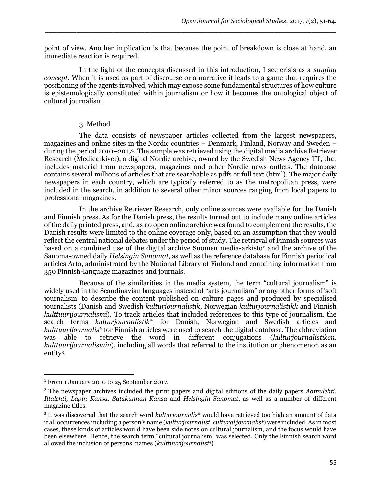point of view. Another implication is that because the point of breakdown is close at hand, an immediate reaction is required.

\_\_\_\_\_\_\_\_\_\_\_\_\_\_\_\_\_\_\_\_\_\_\_\_\_\_\_\_\_\_\_\_\_\_\_\_\_\_\_\_\_\_\_\_\_\_\_\_\_\_\_\_\_\_\_\_\_\_\_\_\_\_\_\_\_\_\_\_\_\_\_\_\_\_\_\_\_\_\_\_\_\_\_\_\_\_\_\_\_\_\_\_\_\_

In the light of the concepts discussed in this introduction, I see crisis as a *staging concept*. When it is used as part of discourse or a narrative it leads to a game that requires the positioning of the agents involved, which may expose some fundamental structures of how culture is epistemologically constituted within journalism or how it becomes the ontological object of cultural journalism.

# 3. Method

The data consists of newspaper articles collected from the largest newspapers, magazines and online sites in the Nordic countries – Denmark, Finland, Norway and Sweden – during the period 2010–2017<sup>1</sup>. The sample was retrieved using the digital media archive Retriever Research (Mediearkivet), a digital Nordic archive, owned by the Swedish News Agency TT, that includes material from newspapers, magazines and other Nordic news outlets. The database contains several millions of articles that are searchable as pdfs or full text (html). The major daily newspapers in each country, which are typically referred to as the metropolitan press, were included in the search, in addition to several other minor sources ranging from local papers to professional magazines.

In the archive Retriever Research, only online sources were available for the Danish and Finnish press. As for the Danish press, the results turned out to include many online articles of the daily printed press, and, as no open online archive was found to complement the results, the Danish results were limited to the online coverage only, based on an assumption that they would reflect the central national debates under the period of study. The retrieval of Finnish sources was based on a combined use of the digital archive Suomen media-arkisto<sup>2</sup> and the archive of the Sanoma-owned daily *Helsingin Sanomat*, as well as the reference database for Finnish periodical articles Arto, administrated by the National Library of Finland and containing information from 350 Finnish-language magazines and journals.

Because of the similarities in the media system, the term "cultural journalism" is widely used in the Scandinavian languages instead of "arts journalism" or any other forms of 'soft journalism' to describe the content published on culture pages and produced by specialised journalists (Danish and Swedish *kulturjournalistik*, Norwegian *kulturjournalistikk* and Finnish *kulttuurijournalismi*). To track articles that included references to this type of journalism, the search terms *kulturjournalistik*\* for Danish, Norwegian and Swedish articles and *kulttuurijournalis*\* for Finnish articles were used to search the digital database. The abbreviation was able to retrieve the word in different conjugations (*kulturjournalistiken, kulttuurijournalismin*), including all words that referred to the institution or phenomenon as an entity<sup>3</sup> .

 $\overline{\phantom{a}}$ 

<sup>1</sup> From 1 January 2010 to 25 September 2017.

<sup>2</sup> The newspaper archives included the print papers and digital editions of the daily papers *Aamulehti, Iltalehti, Lapin Kansa, Satakunnan Kansa* and *Helsingin Sanomat*, as well as a number of different magazine titles.

<sup>3</sup> It was discovered that the search word *kulturjournalis*\* would have retrieved too high an amount of data if all occurrences including a person's name (*kulturjournalist, cultural journalist*) were included. As in most cases, these kinds of articles would have been side notes on cultural journalism, and the focus would have been elsewhere. Hence, the search term "cultural journalism" was selected. Only the Finnish search word allowed the inclusion of persons' names (*kulttuurijournalisti*).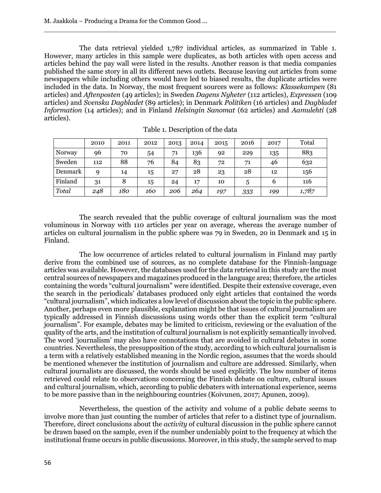The data retrieval yielded 1,787 individual articles, as summarized in Table 1. However, many articles in this sample were duplicates, as both articles with open access and articles behind the pay wall were listed in the results. Another reason is that media companies published the same story in all its different news outlets. Because leaving out articles from some newspapers while including others would have led to biased results, the duplicate articles were included in the data. In Norway, the most frequent sources were as follows: *Klassekampen* (81 articles) and *Aftenposten* (49 articles); in Sweden *Dagens Nyheter* (112 articles), *Expressen* (109 articles) and *Svenska Dagbladet* (89 articles); in Denmark *Politiken* (16 articles) and *Dagbladet Information* (14 articles); and in Finland *Helsingin Sanomat* (62 articles) and *Aamulehti* (28 articles).

 $\Box$ 

|         | 2010 | 2011 | 2012 | 2013 | 2014 | 2015 | 2016 | 2017 | Total |
|---------|------|------|------|------|------|------|------|------|-------|
| Norway  | 96   | 70   | 54   | 71   | 136  | 92   | 229  | 135  | 883   |
| Sweden  | 112  | 88   | 76   | 84   | 83   | 72   | 71   | 46   | 632   |
| Denmark | Q    | 14   | 15   | 27   | 28   | 23   | 28   | 12   | 156   |
| Finland | 31   | 8    | 15   | 24   | 17   | 10   | 5    | 6    | 116   |
| Total   | 248  | 180  | 160  | 206  | 264  | 197  | 333  | 199  | 1,787 |

Table 1. Description of the data

The search revealed that the public coverage of cultural journalism was the most voluminous in Norway with 110 articles per year on average, whereas the average number of articles on cultural journalism in the public sphere was 79 in Sweden, 20 in Denmark and 15 in Finland.

The low occurrence of articles related to cultural journalism in Finland may partly derive from the combined use of sources, as no complete database for the Finnish-language articles was available. However, the databases used for the data retrieval in this study are the most central sources of newspapers and magazines produced in the language area; therefore, the articles containing the words "cultural journalism" were identified. Despite their extensive coverage, even the search in the periodicals' databases produced only eight articles that contained the words "cultural journalism", which indicates a low level of discussion about the topic in the public sphere. Another, perhaps even more plausible, explanation might be that issues of cultural journalism are typically addressed in Finnish discussions using words other than the explicit term "cultural journalism". For example, debates may be limited to criticism, reviewing or the evaluation of the quality of the arts, and the institution of cultural journalism is not explicitly semantically involved. The word 'journalism' may also have connotations that are avoided in cultural debates in some countries. Nevertheless, the presupposition of the study, according to which cultural journalism is a term with a relatively established meaning in the Nordic region, assumes that the words should be mentioned whenever the institution of journalism and culture are addressed. Similarly, when cultural journalists are discussed, the words should be used explicitly. The low number of items retrieved could relate to observations concerning the Finnish debate on culture, cultural issues and cultural journalism, which, according to public debaters with international experience, seems to be more passive than in the neighbouring countries (Koivunen, 2017; Apunen, 2009).

Nevertheless, the question of the activity and volume of a public debate seems to involve more than just counting the number of articles that refer to a distinct type of journalism. Therefore, direct conclusions about the *activity* of cultural discussion in the public sphere cannot be drawn based on the sample, even if the number undeniably point to the frequency at which the institutional frame occurs in public discussions. Moreover, in this study, the sample served to map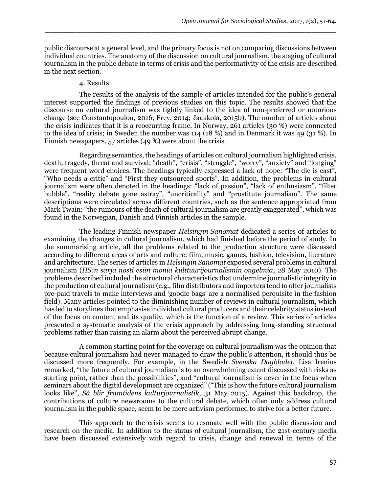public discourse at a general level, and the primary focus is not on comparing discussions between individual countries. The anatomy of the discussion on cultural journalism, the staging of cultural journalism in the public debate in terms of crisis and the performativity of the crisis are described in the next section.

\_\_\_\_\_\_\_\_\_\_\_\_\_\_\_\_\_\_\_\_\_\_\_\_\_\_\_\_\_\_\_\_\_\_\_\_\_\_\_\_\_\_\_\_\_\_\_\_\_\_\_\_\_\_\_\_\_\_\_\_\_\_\_\_\_\_\_\_\_\_\_\_\_\_\_\_\_\_\_\_\_\_\_\_\_\_\_\_\_\_\_\_\_\_

#### 4. Results

The results of the analysis of the sample of articles intended for the public's general interest supported the findings of previous studies on this topic. The results showed that the discourse on cultural journalism was tightly linked to the idea of non-preferred or notorious change (see Constantopoulou, 2016; Frey, 2014; Jaakkola, 2015b). The number of articles about the crisis indicates that it is a reoccurring frame. In Norway, 261 articles (30 %) were connected to the idea of crisis; in Sweden the number was 114 (18 %) and in Denmark it was 49 (31 %). In Finnish newspapers, 57 articles (49 %) were about the crisis.

Regarding semantics, the headings of articles on cultural journalism highlighted crisis, death, tragedy, threat and survival: "death", "crisis", "struggle", "worry", "anxiety" and "longing" were frequent word choices. The headings typically expressed a lack of hope: "The die is cast", "Who needs a critic" and "First they outsourced sports". In addition, the problems in cultural journalism were often denoted in the headings: "lack of passion", "lack of enthusiasm", "filter bubble", "reality debate gone astray", "uncriticality" and "prostitute journalism". The same descriptions were circulated across different countries, such as the sentence appropriated from Mark Twain: "the rumours of the death of cultural journalism are greatly exaggerated", which was found in the Norwegian, Danish and Finnish articles in the sample.

The leading Finnish newspaper *Helsingin Sanomat* dedicated a series of articles to examining the changes in cultural journalism, which had finished before the period of study. In the summarising article, all the problems related to the production structure were discussed according to different areas of arts and culture: film, music, games, fashion, television, literature and architecture. The series of articles in *Helsingin Sanomat* exposed several problems in cultural journalism (*HS:n sarja nosti esiin monia kulttuurijournalismin ongelmia*, 28 May 2010). The problems described included the structural characteristics that undermine journalistic integrity in the production of cultural journalism (e.g., film distributors and importers tend to offer journalists pre-paid travels to make interviews and 'goodie bags' are a normalised perquisite in the fashion field). Many articles pointed to the diminishing number of reviews in cultural journalism, which has led to storylines that emphasise individual cultural producers and their celebrity status instead of the focus on content and its quality, which is the function of a review. This series of articles presented a systematic analysis of the crisis approach by addressing long-standing structural problems rather than raising an alarm about the perceived abrupt change.

A common starting point for the coverage on cultural journalism was the opinion that because cultural journalism had never managed to draw the public's attention, it should thus be discussed more frequently. For example, in the Swedish *Svenska Dagbladet*, Lisa Irenius remarked, "the future of cultural journalism is to an overwhelming extent discussed with risks as starting point, rather than the possibilities", and "cultural journalism is never in the focus when seminars about the digital development are organized" ("This is how the future cultural journalism looks like", *Så blir framtidens kulturjournalistik*, 31 May 2015). Against this backdrop, the contributions of culture newsrooms to the cultural debate, which often only address cultural journalism in the public space, seem to be mere activism performed to strive for a better future.

This approach to the crisis seems to resonate well with the public discussion and research on the media. In addition to the status of cultural journalism, the 21st-century media have been discussed extensively with regard to crisis, change and renewal in terms of the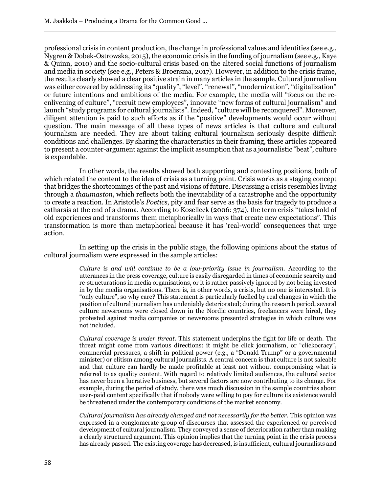professional crisis in content production, the change in professional values and identities (see e.g., Nygren & Dobek-Ostrowska, 2015), the economic crisis in the funding of journalism (see e.g., Kaye & Quinn, 2010) and the socio-cultural crisis based on the altered social functions of journalism and media in society (see e.g., Peters & Broersma, 2017). However, in addition to the crisis frame, the results clearly showed a clear positive strain in many articles in the sample. Cultural journalism was either covered by addressing its "quality", "level", "renewal", "modernization", "digitalization" or future intentions and ambitions of the media. For example, the media will "focus on the reenlivening of culture", "recruit new employees", innovate "new forms of cultural journalism" and launch "study programs for cultural journalists". Indeed, "culture will be reconquered". Moreover, diligent attention is paid to such efforts as if the "positive" developments would occur without question. The main message of all these types of news articles is that culture and cultural journalism are needed. They are about taking cultural journalism seriously despite difficult conditions and challenges. By sharing the characteristics in their framing, these articles appeared to present a counter-argument against the implicit assumption that as a journalistic "beat", culture is expendable.

 $\Box$ 

In other words, the results showed both supporting and contesting positions, both of which related the content to the idea of crisis as a turning point. Crisis works as a staging concept that bridges the shortcomings of the past and visions of future. Discussing a crisis resembles living through a *thaumaston*, which reflects both the inevitability of a catastrophe and the opportunity to create a reaction. In Aristotle's *Poetics*, pity and fear serve as the basis for tragedy to produce a catharsis at the end of a drama. According to Koselleck (2006: 374), the term crisis "takes hold of old experiences and transforms them metaphorically in ways that create new expectations". This transformation is more than metaphorical because it has 'real-world' consequences that urge action.

In setting up the crisis in the public stage, the following opinions about the status of cultural journalism were expressed in the sample articles:

> *Culture is and will continue to be a low-priority issue in journalism.* According to the utterances in the press coverage, culture is easily disregarded in times of economic scarcity and re-structurations in media organisations, or it is rather passively ignored by not being invested in by the media organisations. There is, in other words, a crisis, but no one is interested. It is "only culture", so why care? This statement is particularly fuelled by real changes in which the position of cultural journalism has undeniably deteriorated; during the research period, several culture newsrooms were closed down in the Nordic countries, freelancers were hired, they protested against media companies or newsrooms presented strategies in which culture was not included.

> *Cultural coverage is under threat.* This statement underpins the fight for life or death. The threat might come from various directions: it might be click journalism, or "clickocracy", commercial pressures, a shift in political power (e.g., a "Donald Trump" or a governmental minister) or elitism among cultural journalists. A central concern is that culture is not saleable and that culture can hardly be made profitable at least not without compromising what is referred to as quality content. With regard to relatively limited audiences, the cultural sector has never been a lucrative business, but several factors are now contributing to its change. For example, during the period of study, there was much discussion in the sample countries about user-paid content specifically that if nobody were willing to pay for culture its existence would be threatened under the contemporary conditions of the market economy.

> *Cultural journalism has already changed and not necessarily for the better.* This opinion was expressed in a conglomerate group of discourses that assessed the experienced or perceived development of cultural journalism. They conveyed a sense of deterioration rather than making a clearly structured argument. This opinion implies that the turning point in the crisis process has already passed. The existing coverage has decreased, is insufficient, cultural journalists and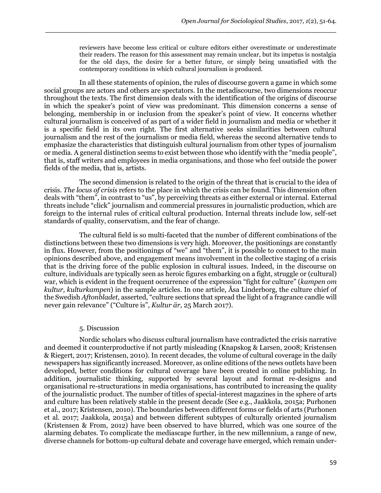reviewers have become less critical or culture editors either overestimate or underestimate their readers. The reason for this assessment may remain unclear, but its impetus is nostalgia for the old days, the desire for a better future, or simply being unsatisfied with the contemporary conditions in which cultural journalism is produced.

In all these statements of opinion, the rules of discourse govern a game in which some social groups are actors and others are spectators. In the metadiscourse, two dimensions reoccur throughout the texts. The first dimension deals with the identification of the origins of discourse in which the speaker's point of view was predominant. This dimension concerns a sense of belonging, membership in or inclusion from the speaker's point of view. It concerns whether cultural journalism is conceived of as part of a wider field in journalism and media or whether it is a specific field in its own right. The first alternative seeks similarities between cultural journalism and the rest of the journalism or media field, whereas the second alternative tends to emphasize the characteristics that distinguish cultural journalism from other types of journalism or media. A general distinction seems to exist between those who identify with the "media people", that is, staff writers and employees in media organisations, and those who feel outside the power fields of the media, that is, artists.

\_\_\_\_\_\_\_\_\_\_\_\_\_\_\_\_\_\_\_\_\_\_\_\_\_\_\_\_\_\_\_\_\_\_\_\_\_\_\_\_\_\_\_\_\_\_\_\_\_\_\_\_\_\_\_\_\_\_\_\_\_\_\_\_\_\_\_\_\_\_\_\_\_\_\_\_\_\_\_\_\_\_\_\_\_\_\_\_\_\_\_\_\_\_

The second dimension is related to the origin of the threat that is crucial to the idea of crisis. *The locus of crisis* refers to the place in which the crisis can be found. This dimension often deals with "them", in contrast to "us", by perceiving threats as either external or internal. External threats include "click" journalism and commercial pressures in journalistic production, which are foreign to the internal rules of critical cultural production. Internal threats include low, self-set standards of quality, conservatism, and the fear of change.

The cultural field is so multi-faceted that the number of different combinations of the distinctions between these two dimensions is very high. Moreover, the positionings are constantly in flux. However, from the positionings of "we" and "them", it is possible to connect to the main opinions described above, and engagement means involvement in the collective staging of a crisis that is the driving force of the public explosion in cultural issues. Indeed, in the discourse on culture, individuals are typically seen as heroic figures embarking on a fight, struggle or (cultural) war, which is evident in the frequent occurrence of the expression "fight for culture" (*kampen om kultur, kulturkampen*) in the sample articles. In one article, Åsa Linderborg, the culture chief of the Swedish *Aftonbladet,* asserted, "culture sections that spread the light of a fragrance candle will never gain relevance" ("Culture is", *Kultur är*, 25 March 2017).

## 5. Discussion

Nordic scholars who discuss cultural journalism have contradicted the crisis narrative and deemed it counterproductive if not partly misleading (Knapskog & Larsen, 2008; Kristensen & Riegert, 2017; Kristensen, 2010). In recent decades, the volume of cultural coverage in the daily newspapers has significantly increased. Moreover, as online editions of the news outlets have been developed, better conditions for cultural coverage have been created in online publishing. In addition, journalistic thinking, supported by several layout and format re-designs and organisational re-structurations in media organisations, has contributed to increasing the quality of the journalistic product. The number of titles of special-interest magazines in the sphere of arts and culture has been relatively stable in the present decade (See e.g., Jaakkola, 2015a; Purhonen et al., 2017; Kristensen, 2010). The boundaries between different forms or fields of arts (Purhonen et al. 2017; Jaakkola, 2015a) and between different subtypes of culturally oriented journalism (Kristensen & From, 2012) have been observed to have blurred, which was one source of the alarming debates. To complicate the mediascape further, in the new millennium, a range of new, diverse channels for bottom-up cultural debate and coverage have emerged, which remain under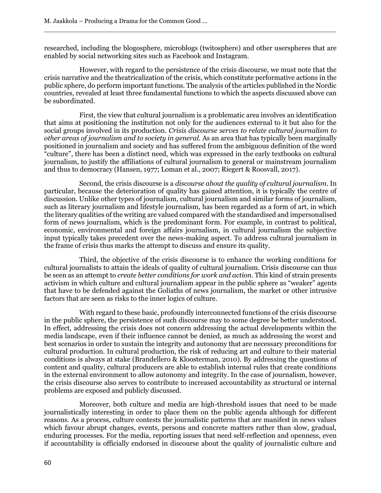researched, including the blogosphere, microblogs (twitosphere) and other userspheres that are enabled by social networking sites such as Facebook and Instagram.

 $\Box$ 

However, with regard to the persistence of the crisis discourse, we must note that the crisis narrative and the theatricalization of the crisis, which constitute performative actions in the public sphere, do perform important functions. The analysis of the articles published in the Nordic countries, revealed at least three fundamental functions to which the aspects discussed above can be subordinated.

First, the view that cultural journalism is a problematic area involves an identification that aims at positioning the institution not only for the audiences external to it but also for the social groups involved in its production. *Crisis discourse serves to relate cultural journalism to other areas of journalism and to society in general.* As an area that has typically been marginally positioned in journalism and society and has suffered from the ambiguous definition of the word "culture", there has been a distinct need, which was expressed in the early textbooks on cultural journalism, to justify the affiliations of cultural journalism to general or mainstream journalism and thus to democracy (Hansen, 1977; Loman et al., 2007; Riegert & Roosvall, 2017).

Second, the crisis discourse is a *discourse about the quality of cultural journalism*. In particular, because the deterioration of quality has gained attention, it is typically the centre of discussion. Unlike other types of journalism, cultural journalism and similar forms of journalism, such as literary journalism and lifestyle journalism, has been regarded as a form of art, in which the literary qualities of the writing are valued compared with the standardised and impersonalised form of news journalism, which is the predominant form. For example, in contrast to political, economic, environmental and foreign affairs journalism, in cultural journalism the subjective input typically takes precedent over the news-making aspect. To address cultural journalism in the frame of crisis thus marks the attempt to discuss and ensure its quality.

Third, the objective of the crisis discourse is to enhance the working conditions for cultural journalists to attain the ideals of quality of cultural journalism. Crisis discourse can thus be seen as an attempt to *create better conditions for work and action*. This kind of strain presents activism in which culture and cultural journalism appear in the public sphere as "weaker" agents that have to be defended against the Goliaths of news journalism, the market or other intrusive factors that are seen as risks to the inner logics of culture.

With regard to these basic, profoundly interconnected functions of the crisis discourse in the public sphere, the persistence of such discourse may to some degree be better understood. In effect, addressing the crisis does not concern addressing the actual developments within the media landscape, even if their influence cannot be denied, as much as addressing the worst and best scenarios in order to sustain the integrity and autonomy that are necessary preconditions for cultural production. In cultural production, the risk of reducing art and culture to their material conditions is always at stake (Brandellero & Kloosterman, 2010). By addressing the questions of content and quality, cultural producers are able to establish internal rules that create conditions in the external environment to allow autonomy and integrity. In the case of journalism, however, the crisis discourse also serves to contribute to increased accountability as structural or internal problems are exposed and publicly discussed.

Moreover, both culture and media are high-threshold issues that need to be made journalistically interesting in order to place them on the public agenda although for different reasons. As a process, culture contests the journalistic patterns that are manifest in news values which favour abrupt changes, events, persons and concrete matters rather than slow, gradual, enduring processes. For the media, reporting issues that need self-reflection and openness, even if accountability is officially endorsed in discourse about the quality of journalistic culture and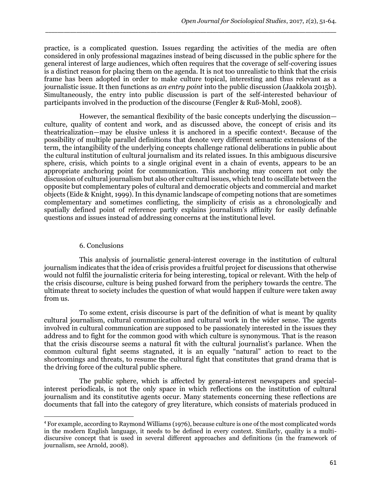practice, is a complicated question. Issues regarding the activities of the media are often considered in only professional magazines instead of being discussed in the public sphere for the general interest of large audiences, which often requires that the coverage of self-covering issues is a distinct reason for placing them on the agenda. It is not too unrealistic to think that the crisis frame has been adopted in order to make culture topical, interesting and thus relevant as a journalistic issue. It then functions as *an entry point* into the public discussion (Jaakkola 2015b). Simultaneously, the entry into public discussion is part of the self-interested behaviour of participants involved in the production of the discourse (Fengler & Ruß-Mohl, 2008).

\_\_\_\_\_\_\_\_\_\_\_\_\_\_\_\_\_\_\_\_\_\_\_\_\_\_\_\_\_\_\_\_\_\_\_\_\_\_\_\_\_\_\_\_\_\_\_\_\_\_\_\_\_\_\_\_\_\_\_\_\_\_\_\_\_\_\_\_\_\_\_\_\_\_\_\_\_\_\_\_\_\_\_\_\_\_\_\_\_\_\_\_\_\_

However, the semantical flexibility of the basic concepts underlying the discussion culture, quality of content and work, and as discussed above, the concept of crisis and its theatricalization—may be elusive unless it is anchored in a specific context<sup>4</sup> . Because of the possibility of multiple parallel definitions that denote very different semantic extensions of the term, the intangibility of the underlying concepts challenge rational deliberations in public about the cultural institution of cultural journalism and its related issues. In this ambiguous discursive sphere, crisis, which points to a single original event in a chain of events, appears to be an appropriate anchoring point for communication. This anchoring may concern not only the discussion of cultural journalism but also other cultural issues, which tend to oscillate between the opposite but complementary poles of cultural and democratic objects and commercial and market objects (Eide & Knight, 1999). In this dynamic landscape of competing notions that are sometimes complementary and sometimes conflicting, the simplicity of crisis as a chronologically and spatially defined point of reference partly explains journalism's affinity for easily definable questions and issues instead of addressing concerns at the institutional level.

## 6. Conclusions

 $\overline{\phantom{a}}$ 

This analysis of journalistic general-interest coverage in the institution of cultural journalism indicates that the idea of crisis provides a fruitful project for discussions that otherwise would not fulfil the journalistic criteria for being interesting, topical or relevant. With the help of the crisis discourse, culture is being pushed forward from the periphery towards the centre. The ultimate threat to society includes the question of what would happen if culture were taken away from us.

To some extent, crisis discourse is part of the definition of what is meant by quality cultural journalism, cultural communication and cultural work in the wider sense. The agents involved in cultural communication are supposed to be passionately interested in the issues they address and to fight for the common good with which culture is synonymous. That is the reason that the crisis discourse seems a natural fit with the cultural journalist's parlance. When the common cultural fight seems stagnated, it is an equally "natural" action to react to the shortcomings and threats, to resume the cultural fight that constitutes that grand drama that is the driving force of the cultural public sphere.

The public sphere, which is affected by general-interest newspapers and specialinterest periodicals, is not the only space in which reflections on the institution of cultural journalism and its constitutive agents occur. Many statements concerning these reflections are documents that fall into the category of grey literature, which consists of materials produced in

<sup>4</sup> For example, according to Raymond Williams (1976), because culture is one of the most complicated words in the modern English language, it needs to be defined in every context. Similarly, quality is a multidiscursive concept that is used in several different approaches and definitions (in the framework of journalism, see Arnold, 2008).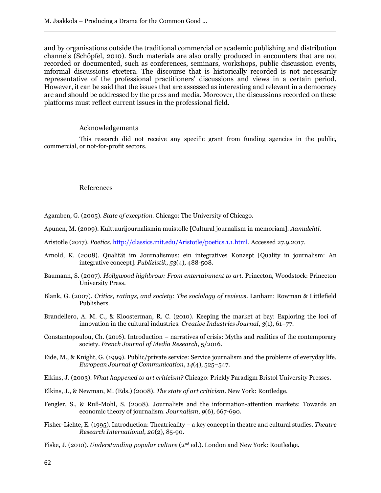and by organisations outside the traditional commercial or academic publishing and distribution channels (Schöpfel, 2010). Such materials are also orally produced in encounters that are not recorded or documented, such as conferences, seminars, workshops, public discussion events, informal discussions etcetera. The discourse that is historically recorded is not necessarily representative of the professional practitioners' discussions and views in a certain period. However, it can be said that the issues that are assessed as interesting and relevant in a democracy are and should be addressed by the press and media. Moreover, the discussions recorded on these platforms must reflect current issues in the professional field.

 $\Box$ 

#### Acknowledgements

This research did not receive any specific grant from funding agencies in the public, commercial, or not-for-profit sectors.

#### References

Agamben, G. (2005). *State of exception.* Chicago: The University of Chicago.

- Apunen, M. (2009). Kulttuurijournalismin muistolle [Cultural journalism in memoriam]. *Aamulehti*.
- Aristotle (2017). *Poetics*[. http://classics.mit.edu/Aristotle/poetics.1.1.html.](http://classics.mit.edu/Aristotle/poetics.1.1.html) Accessed 27.9.2017.
- Arnold, K. (2008). Qualität im Journalismus: ein integratives Konzept [Quality in journalism: An integrative concept]. *Publizistik*, *53*(4), 488-508.
- Baumann, S. (2007). *Hollywood highbrow: From entertainment to art*. Princeton, Woodstock: Princeton University Press.
- Blank, G. (2007). *Critics, ratings, and society: The sociology of reviews*. Lanham: Rowman & Littlefield Publishers.
- Brandellero, A. M. C., & Kloosterman, R. C. (2010). Keeping the market at bay: Exploring the loci of innovation in the cultural industries. *Creative Industries Journal*, *3*(1), 61–77.
- Constantopoulou, Ch. (2016). Introduction narratives of crisis: Myths and realities of the contemporary society. *French Journal of Media Research*, 5/2016.
- Eide, M., & Knight, G. (1999). Public/private service: Service journalism and the problems of everyday life. *European Journal of Communication*, *14*(4), 525–547.
- Elkins, J. (2003). *What happened to art criticism?* Chicago: Prickly Paradigm Bristol University Presses.
- Elkins, J., & Newman, M. (Eds.) (2008). *The state of art criticism*. New York: Routledge.
- Fengler, S., & Ruß-Mohl, S. (2008). Journalists and the information-attention markets: Towards an economic theory of journalism. *Journalism*, *9*(6), 667-690.
- Fisher-Lichte, E. (1995). Introduction: Theatricality a key concept in theatre and cultural studies. *Theatre Research International*, *20*(2), 85-90.
- Fiske, J. (2010). *Understanding popular culture* (2<sup>nd</sup> ed.). London and New York: Routledge.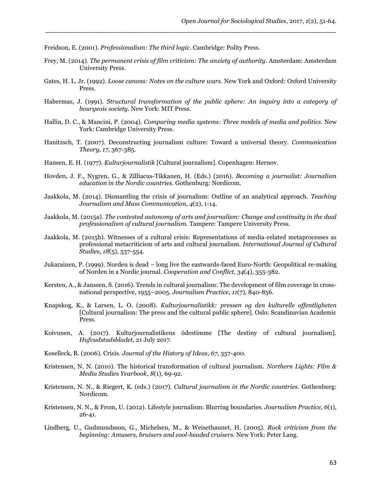Freidson, E. (2001). *Professionalism: The third logic*. Cambridge: Polity Press.

Frey, M. (2014). *The permanent crisis of film criticism: The anxiety of authority*. Amsterdam: Amsterdam University Press.

\_\_\_\_\_\_\_\_\_\_\_\_\_\_\_\_\_\_\_\_\_\_\_\_\_\_\_\_\_\_\_\_\_\_\_\_\_\_\_\_\_\_\_\_\_\_\_\_\_\_\_\_\_\_\_\_\_\_\_\_\_\_\_\_\_\_\_\_\_\_\_\_\_\_\_\_\_\_\_\_\_\_\_\_\_\_\_\_\_\_\_\_\_\_

- Gates, H. L. Jr. (1992). *Loose canons: Notes on the culture wars.* New York and Oxford: Oxford University Press.
- Habermas, J. (1991). *Structural transformation of the public sphere: An inquiry into a category of bourgeois society.* New York: MIT Press.
- Hallin, D. C., & Mancini, P. (2004). *Comparing media systems: Three models of media and politics.* New York: Cambridge University Press.
- Hanitzsch, T. (2007). Deconstructing journalism culture: Toward a universal theory. *Communication Theory, 17*, 367-385.
- Hansen, E. H. (1977). *Kulturjournalistik* [Cultural journalism]. Copenhagen: Hernov.
- Hovden, J. F., Nygren, G., & Zilliacus-Tikkanen, H. (Eds.) (2016). *Becoming a journalist: Journalism education in the Nordic countries.* Gothenburg: Nordicom.
- Jaakkola, M. (2014). Dismantling the crisis of journalism: Outline of an analytical approach. *Teaching Journalism and Mass Communication*, *4*(2), 1-14.
- Jaakkola, M. (2015a). *The contested autonomy of arts and journalism: Change and continuity in the dual professionalism of cultural journalism.* Tampere: Tampere University Press.
- Jaakkola, M. (2015b). Witnesses of a cultural crisis: Representations of media-related metaprocesses as professional metacriticism of arts and cultural journalism. *International Journal of Cultural Studies*, *18*(5), 537-554.
- Jukarainen, P. (1999). Norden is dead long live the eastwards-faced Euro-North: Geopolitical re-making of Norden in a Nordic journal. *Cooperation and Conflict*, *34*(4), 355-382.
- Kersten, A., & Janssen, S. (2016). Trends in cultural journalism: The development of film coverage in crossnational perspective, 1955–2005. *Journalism Practice*, *11*(7), 840-856.
- Knapskog, K., & Larsen, L. O. (2008). *Kulturjournalistikk: pressen og den kulturelle offentligheten* [Cultural journalism: The press and the cultural public sphere]. Oslo: Scandinavian Academic Press.
- Koivunen, A. (2017). Kulturjournalistikens ödestimme [The destiny of cultural journalism]. *Hufvudstadsbladet*, 21 July 2017.
- Koselleck, R. (2006). Crisis. *Journal of the History of Ideas*, *67*, 357-400.
- Kristensen, N. N. (2010). The historical transformation of cultural journalism. *Northern Lights: Film & Media Studies Yearbook*, *8*(1), 69-92.
- Kristensen, N. N., & Riegert, K. (eds.) (2017). *Cultural journalism in the Nordic countries.* Gothenburg: Nordicom.
- Kristensen, N. N., & From, U. (2012). Lifestyle journalism: Blurring boundaries. *Journalism Practice*, *6*(1), 26-41.
- Lindberg, U., Gudmundsson, G., Michelsen, M., & Weisethaunet, H. (2005). *Rock criticism from the beginning: Amusers, bruisers and cool-headed cruisers.* New York: Peter Lang.